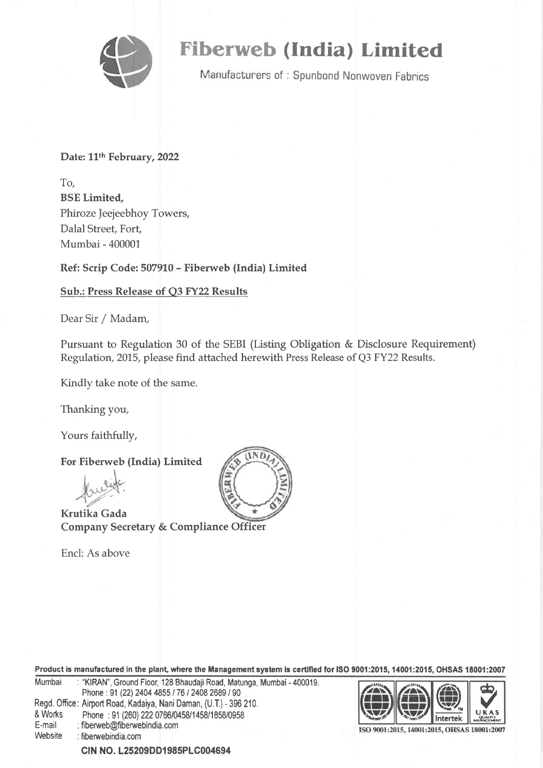

# Fiberweb (India) Limited

Manufacturers of: Spunbond Nonwoven Fabrics

Date: 11<sup>th</sup> February, 2022

To, BSE Limited, Phiroze Jeejeebhoy Towers, Dalal Street, Fort Mumbai - 400001

Ref: Scrip Code: 507910 - Fiberweb (India) Limited

# Sub.: Press Release of Q3 FY22 Results

Dear Sir / Madam,

Pursuant to Regulation 30 of the SEBI (Listing Obligation & Disclosure Requirement) Regulation,2075, please find attached herewith Press Release of Q3 FY22 Results.

Kindly take note of the same.

Thanking you,

Yours faithfully,

For Fiberweb (India) Limited

Krutika Gada Company Secretary & Compliance Officer

Encl: As above



Product is manufactured in the plant, where the Managementsystem is certified for ISO 9001:2015, 14001:2015, OHSAS 18001:2007 Mumbai : "KIRAN", Ground Floor, 128 Bhaudaji Road, Matunga, Mumbai - 400019. Phone: 91 (22) 2404 4855 / 76 / 2408 2689 / 90 Regd, Office: Airport Road, Kadaiya, Nani Daman, (U.T.) - 396 210. & Works Phone : 91 (260) 222 0766/0458/1458/1858/0958<br>E-mail : fiberweb@fiberwebindia.com Website : fiberwebindia.com  $\overline{\bigoplus}$   $\bigoplus$ **Intertek** do) U V The Text of The Text of The Text of The Text of The Text of The Text of The Text of The Text of The Text of The Text of The Text of Text of The Text of Text of Text of Text of Text of Text of Text of Text of Text of Text o  $\downarrow \downarrow \downarrow$ ISO 9001:2015, 14001:2015, OHSAS 18001:2007

clN No. 125209DD1985PLG004694